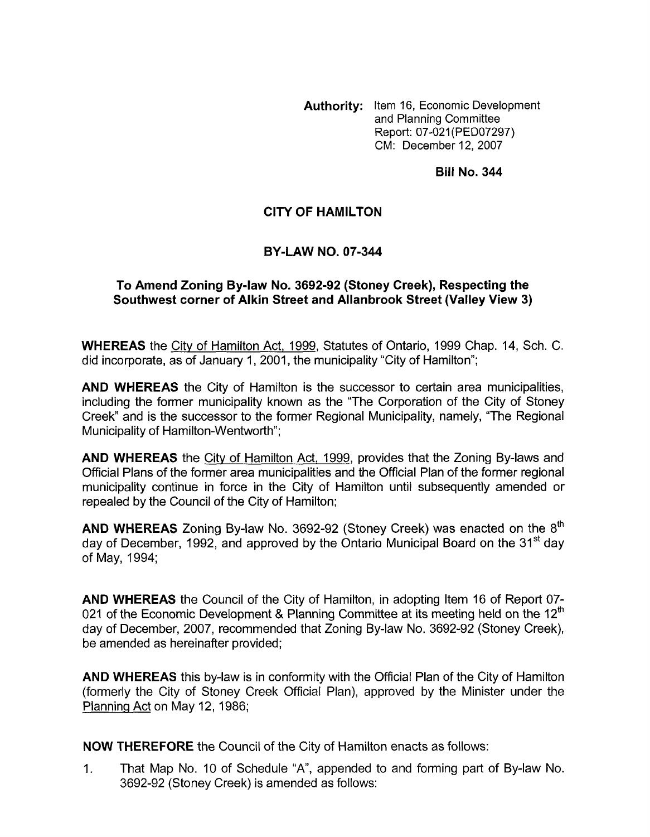**Authority:** Item 16, Economic Development and Planning Committee Report: 07-021 (PED07297) CM: December 12,2007

**Bill No. 344** 

## **CITY OF HAMILTON**

## **BY-LAW NO. 07-344**

## To Amend Zoning By-law No. 3692-92 (Stoney Creek), Respecting the **Southwest corner of Alkin Street and Allanbrook Street (Valley View 3)**

**WHEREAS** the City of Hamilton Act, 1999, Statutes of Ontario, 1999 Chap. 14, Sch. C. did incorporate, as of January 1, 2001, the municipality "City of Hamilton";

**AND WHEREAS** the City of Hamilton is the successor to certain area municipalities, including the former municipality known as the "The Corporation of the City of Stoney Creek" and is the successor to the former Regional Municipality, namely, "The Regional Municipality of Hamilton-Wentworth";

**AND WHEREAS** the City of Hamilton Act, 1999, provides that the Zoning By-laws and Official Plans of the former area municipalities and the Official Plan of the former regional municipality continue in force in the City of Hamilton until subsequently amended or repealed by the Council of the City of Hamilton;

**AND WHEREAS** Zoning By-law No. 3692-92 (Stoney Creek) was enacted on the 8'h day of December, 1992, and approved by the Ontario Municipal Board on the 31<sup>st</sup> day of May, 1994;

**AND WHEREAS** the Council of the City of Hamilton, in adopting Item 16 of Report 07- 021 of the Economic Development & Planning Committee at its meeting held on the 12<sup>th</sup> day of December, 2007, recommended that Zoning By-law No. 3692-92 (Stoney Creek), be amended as hereinafter provided;

**AND WHEREAS** this by-law is in conformity with the Official Plan of the City of Hamilton (formerly the City of Stoney Creek Official Plan), approved by the Minister under the Planninq Act on May 12, 1986;

**NOW THEREFORE** the Council of the City of Hamilton enacts as follows:

1. That Map No. 10 of Schedule "A", appended to and forming part of By-law No. 3692-92 (Stoney Creek) is amended as follows: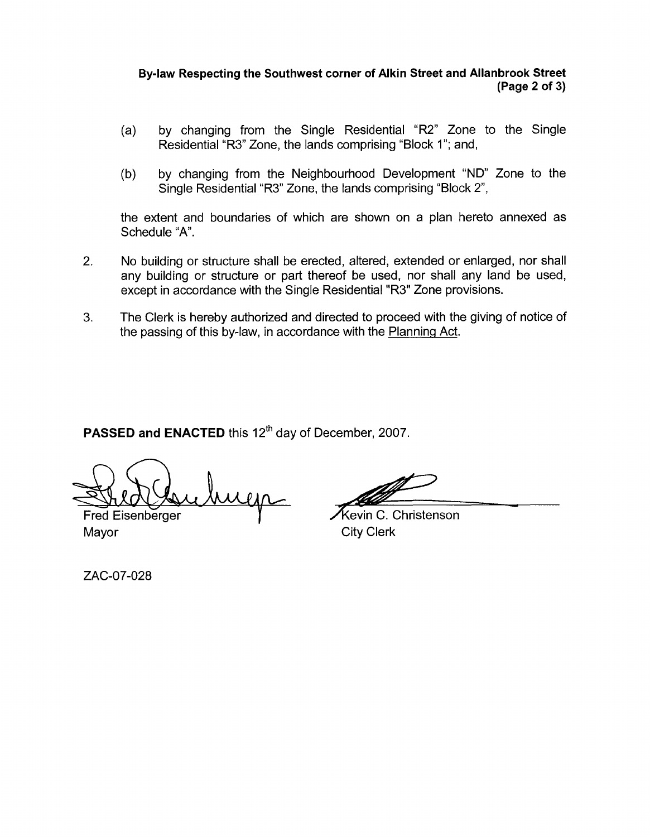## **By-law Respecting the Southwest corner of Alkin Street and Allanbrook Street (Page 2 of 3)**

- (a) by changing from the Single Residential "R2" Zone to the Single Residential "R3" Zone, the lands comprising "Block 1"; and,
- (b) by changing from the Neighbourhood Development "ND" Zone to the Single Residential "R3" Zone, the lands comprising "Block 2",

the extent and boundaries of which are shown on a plan hereto annexed as Schedule "A".

- 2. No building or structure shall be erected, altered, extended or enlarged, nor shall any building or structure or part thereof be used, nor shall any land be used, except in accordance with the Single Residential "R3" Zone provisions.
- **3.** The Clerk is hereby authorized and directed to proceed with the giving of notice of the passing of this by-law, in accordance with the Planning Act.

**PASSED and ENACTED this 12<sup>th</sup> day of December, 2007.** 

uga Fred Eisenberger

Mayor **City Clerk** 

ourhood Development "ND" Zone to the<br>
e lands comprising "Block 2",<br>
are shown on a plan hereto annexed as<br>
ed, altered, extended or enlarged, nor shall<br>
eef be used, nor shall any land be used,<br>
tesidential "R3" Zone prov

Kevin C. Christenson

ZAC-07-028